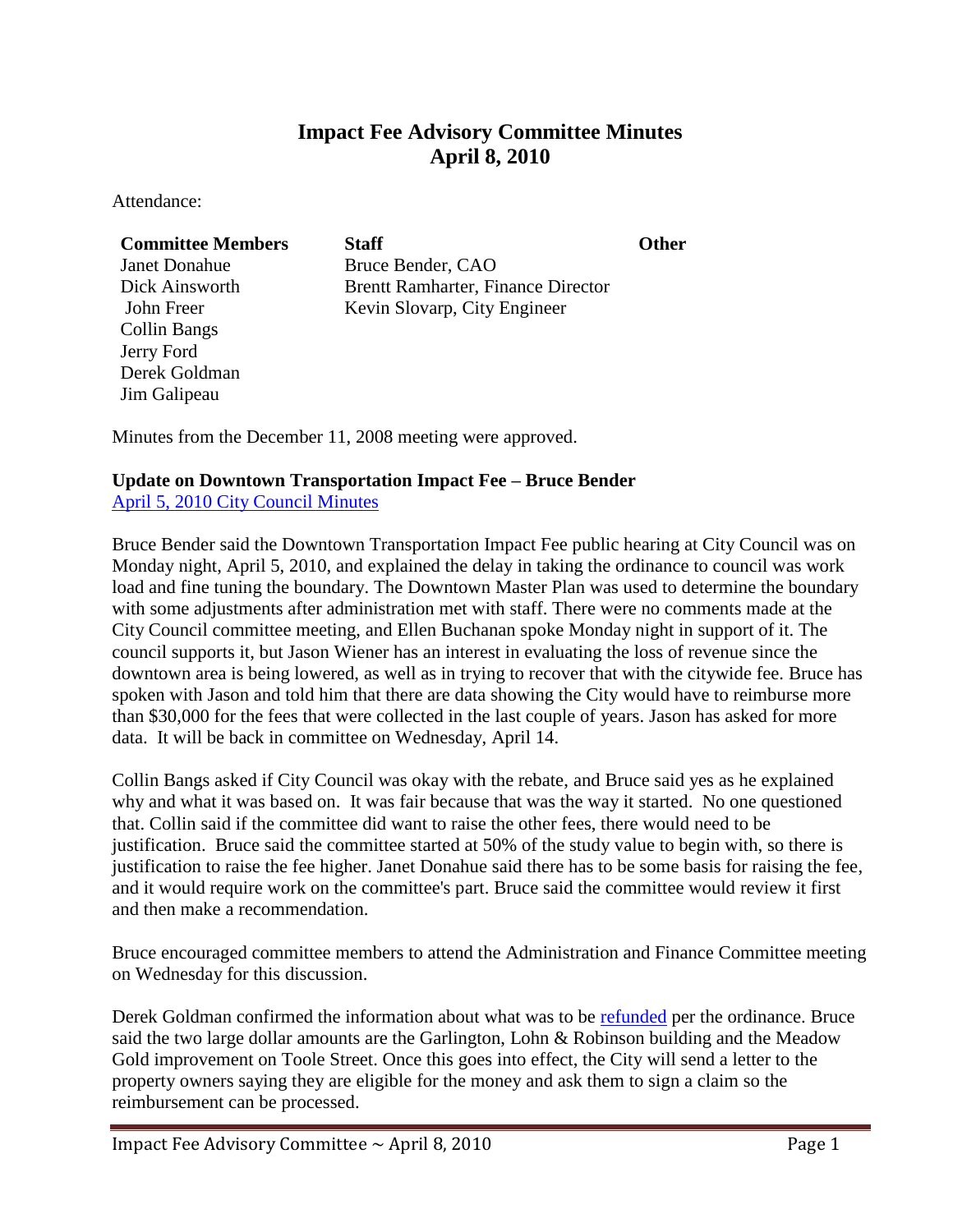# **Impact Fee Advisory Committee Minutes April 8, 2010**

Attendance:

Derek Goldman Jim Galipeau

| <b>Committee Members</b> | <b>Staff</b>                              | <b>Other</b> |
|--------------------------|-------------------------------------------|--------------|
| <b>Janet Donahue</b>     | Bruce Bender, CAO                         |              |
| Dick Ainsworth           | <b>Brentt Ramharter, Finance Director</b> |              |
| John Freer               | Kevin Slovarp, City Engineer              |              |
| Collin Bangs             |                                           |              |
| Jerry Ford               |                                           |              |

Minutes from the December 11, 2008 meeting were approved.

## **Update on Downtown Transportation Impact Fee – Bruce Bender**

[April 5, 2010 City Council Minutes](ftp://ftp.ci.missoula.mt.us/Documents/Mayor/IFAC/2010/100408Apr5CCmin.pdf)

Bruce Bender said the Downtown Transportation Impact Fee public hearing at City Council was on Monday night, April 5, 2010, and explained the delay in taking the ordinance to council was work load and fine tuning the boundary. The Downtown Master Plan was used to determine the boundary with some adjustments after administration met with staff. There were no comments made at the City Council committee meeting, and Ellen Buchanan spoke Monday night in support of it. The council supports it, but Jason Wiener has an interest in evaluating the loss of revenue since the downtown area is being lowered, as well as in trying to recover that with the citywide fee. Bruce has spoken with Jason and told him that there are data showing the City would have to reimburse more than \$30,000 for the fees that were collected in the last couple of years. Jason has asked for more data. It will be back in committee on Wednesday, April 14.

Collin Bangs asked if City Council was okay with the rebate, and Bruce said yes as he explained why and what it was based on. It was fair because that was the way it started. No one questioned that. Collin said if the committee did want to raise the other fees, there would need to be justification. Bruce said the committee started at 50% of the study value to begin with, so there is justification to raise the fee higher. Janet Donahue said there has to be some basis for raising the fee, and it would require work on the committee's part. Bruce said the committee would review it first and then make a recommendation.

Bruce encouraged committee members to attend the Administration and Finance Committee meeting on Wednesday for this discussion.

Derek Goldman confirmed the information about what was to be [refunded](ftp://ftp.ci.missoula.mt.us/Documents/Mayor/IFAC/2010/100408Refund.pdf) per the ordinance. Bruce said the two large dollar amounts are the Garlington, Lohn & Robinson building and the Meadow Gold improvement on Toole Street. Once this goes into effect, the City will send a letter to the property owners saying they are eligible for the money and ask them to sign a claim so the reimbursement can be processed.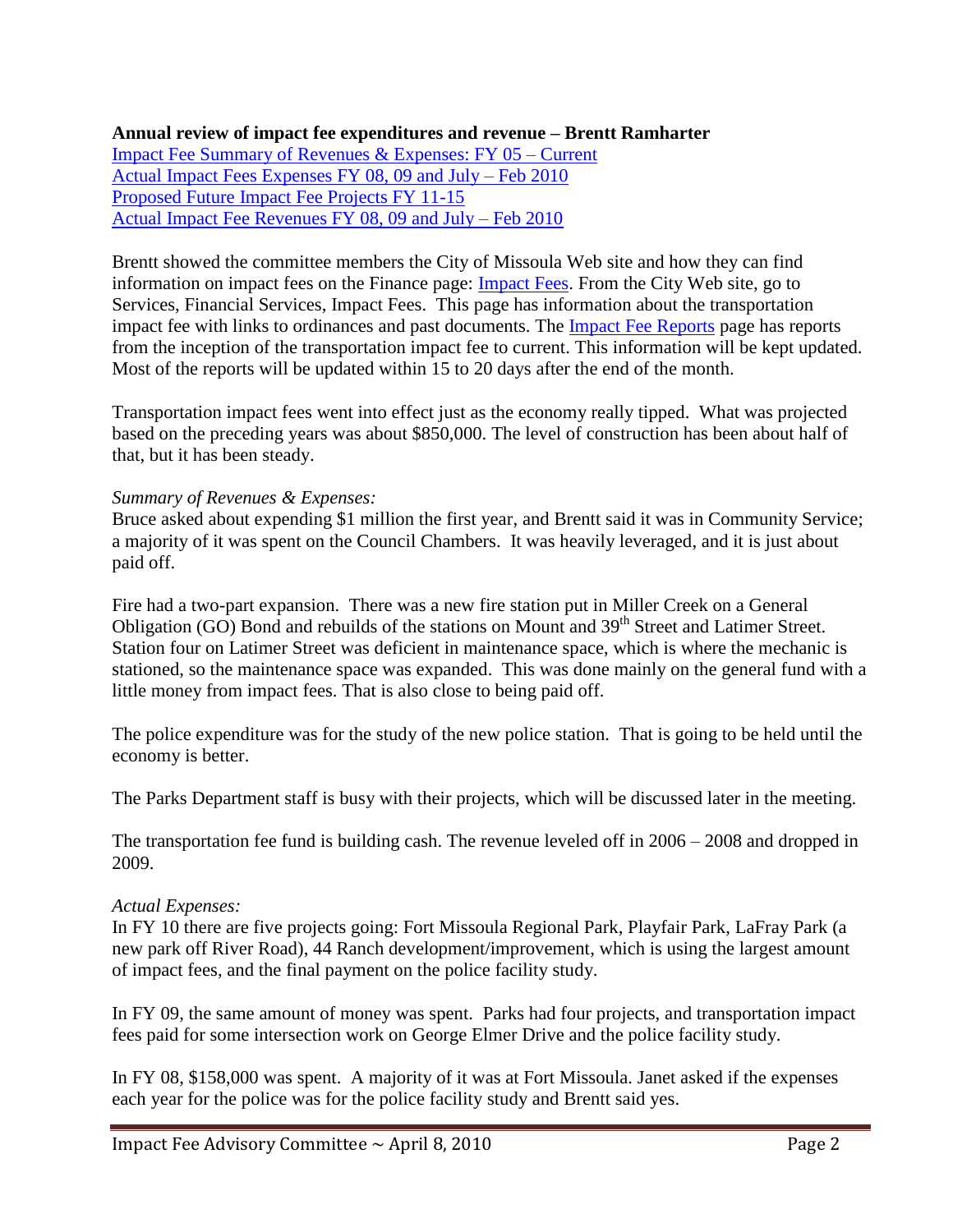#### **Annual review of impact fee expenditures and revenue – Brentt Ramharter** [Impact Fee Summary of Revenues & Expenses: FY 05 –](ftp://ftp.ci.missoula.mt.us/Documents/Mayor/IFAC/2010/100408IFSummary.pdf) Current [Actual Impact Fees Expenses](ftp://ftp.ci.missoula.mt.us/Documents/Mayor/IFAC/2010/100408IFActualExpenses.pdf) FY 08, 09 and July – Feb 2010 [Proposed Future Impact Fee Projects FY 11-15](ftp://ftp.ci.missoula.mt.us/Documents/Mayor/IFAC/2010/100408IFProposedProj.pdf) [Actual Impact Fee Revenues FY 08, 09 and July –](ftp://ftp.ci.missoula.mt.us/Documents/Mayor/IFAC/2010/100408IFActualRevenue.pdf) Feb 2010

Brentt showed the committee members the City of Missoula Web site and how they can find information on impact fees on the Finance page: [Impact Fees.](http://www.ci.missoula.mt.us/index.aspx?NID=141) From the City Web site, go to Services, Financial Services, Impact Fees. This page has information about the transportation impact fee with links to ordinances and past documents. The [Impact Fee Reports](http://www.ci.missoula.mt.us/Archive.aspx?AMID=43) page has reports from the inception of the transportation impact fee to current. This information will be kept updated. Most of the reports will be updated within 15 to 20 days after the end of the month.

Transportation impact fees went into effect just as the economy really tipped. What was projected based on the preceding years was about \$850,000. The level of construction has been about half of that, but it has been steady.

#### *Summary of Revenues & Expenses:*

Bruce asked about expending \$1 million the first year, and Brentt said it was in Community Service; a majority of it was spent on the Council Chambers. It was heavily leveraged, and it is just about paid off.

Fire had a two-part expansion. There was a new fire station put in Miller Creek on a General Obligation (GO) Bond and rebuilds of the stations on Mount and 39<sup>th</sup> Street and Latimer Street. Station four on Latimer Street was deficient in maintenance space, which is where the mechanic is stationed, so the maintenance space was expanded. This was done mainly on the general fund with a little money from impact fees. That is also close to being paid off.

The police expenditure was for the study of the new police station. That is going to be held until the economy is better.

The Parks Department staff is busy with their projects, which will be discussed later in the meeting.

The transportation fee fund is building cash. The revenue leveled off in 2006 – 2008 and dropped in 2009.

#### *Actual Expenses:*

In FY 10 there are five projects going: Fort Missoula Regional Park, Playfair Park, LaFray Park (a new park off River Road), 44 Ranch development/improvement, which is using the largest amount of impact fees, and the final payment on the police facility study.

In FY 09, the same amount of money was spent. Parks had four projects, and transportation impact fees paid for some intersection work on George Elmer Drive and the police facility study.

In FY 08, \$158,000 was spent. A majority of it was at Fort Missoula. Janet asked if the expenses each year for the police was for the police facility study and Brentt said yes.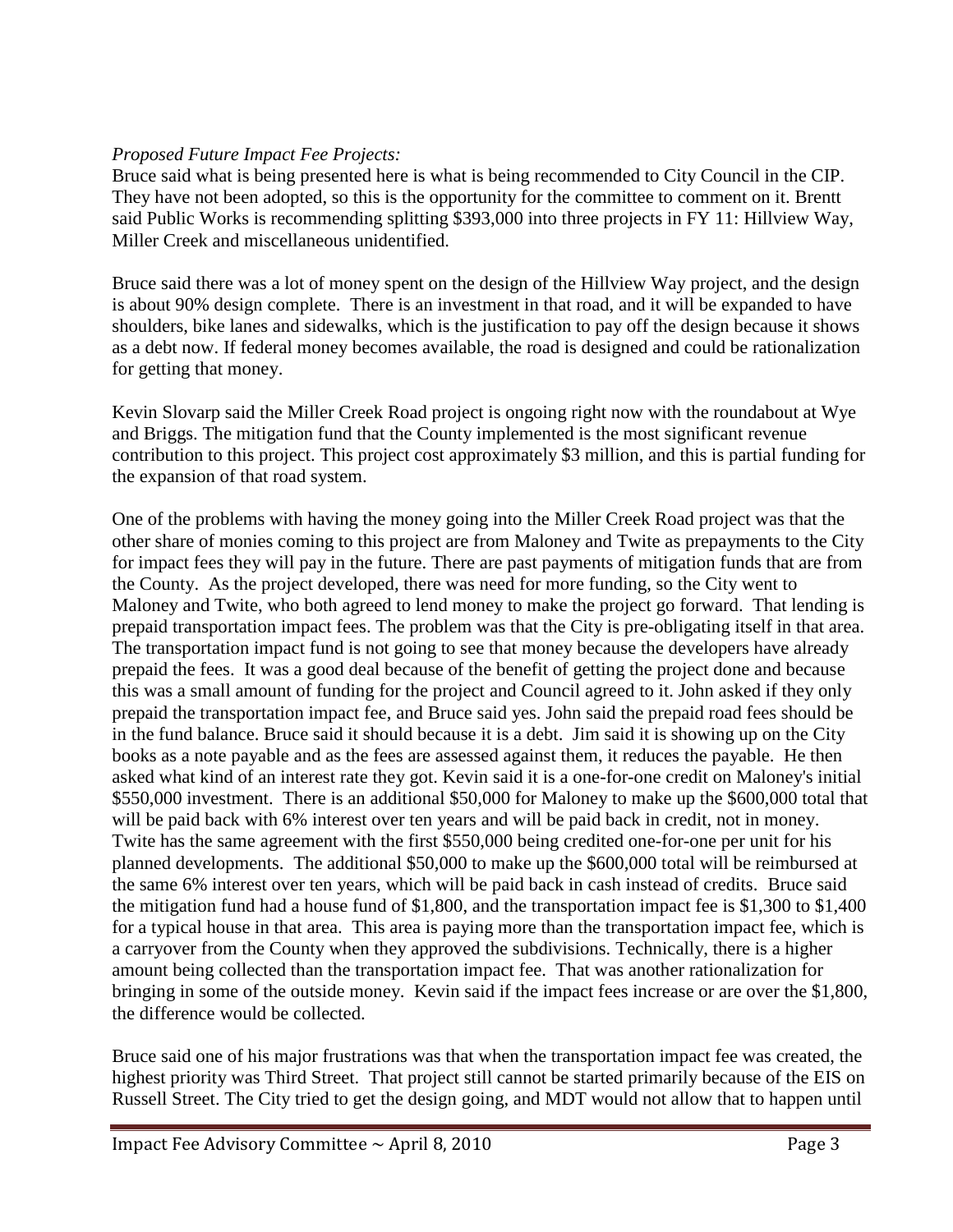## *Proposed Future Impact Fee Projects:*

Bruce said what is being presented here is what is being recommended to City Council in the CIP. They have not been adopted, so this is the opportunity for the committee to comment on it. Brentt said Public Works is recommending splitting \$393,000 into three projects in FY 11: Hillview Way, Miller Creek and miscellaneous unidentified.

Bruce said there was a lot of money spent on the design of the Hillview Way project, and the design is about 90% design complete. There is an investment in that road, and it will be expanded to have shoulders, bike lanes and sidewalks, which is the justification to pay off the design because it shows as a debt now. If federal money becomes available, the road is designed and could be rationalization for getting that money.

Kevin Slovarp said the Miller Creek Road project is ongoing right now with the roundabout at Wye and Briggs. The mitigation fund that the County implemented is the most significant revenue contribution to this project. This project cost approximately \$3 million, and this is partial funding for the expansion of that road system.

One of the problems with having the money going into the Miller Creek Road project was that the other share of monies coming to this project are from Maloney and Twite as prepayments to the City for impact fees they will pay in the future. There are past payments of mitigation funds that are from the County. As the project developed, there was need for more funding, so the City went to Maloney and Twite, who both agreed to lend money to make the project go forward. That lending is prepaid transportation impact fees. The problem was that the City is pre-obligating itself in that area. The transportation impact fund is not going to see that money because the developers have already prepaid the fees. It was a good deal because of the benefit of getting the project done and because this was a small amount of funding for the project and Council agreed to it. John asked if they only prepaid the transportation impact fee, and Bruce said yes. John said the prepaid road fees should be in the fund balance. Bruce said it should because it is a debt. Jim said it is showing up on the City books as a note payable and as the fees are assessed against them, it reduces the payable. He then asked what kind of an interest rate they got. Kevin said it is a one-for-one credit on Maloney's initial \$550,000 investment. There is an additional \$50,000 for Maloney to make up the \$600,000 total that will be paid back with 6% interest over ten years and will be paid back in credit, not in money. Twite has the same agreement with the first \$550,000 being credited one-for-one per unit for his planned developments. The additional \$50,000 to make up the \$600,000 total will be reimbursed at the same 6% interest over ten years, which will be paid back in cash instead of credits. Bruce said the mitigation fund had a house fund of \$1,800, and the transportation impact fee is \$1,300 to \$1,400 for a typical house in that area. This area is paying more than the transportation impact fee, which is a carryover from the County when they approved the subdivisions. Technically, there is a higher amount being collected than the transportation impact fee. That was another rationalization for bringing in some of the outside money. Kevin said if the impact fees increase or are over the \$1,800, the difference would be collected.

Bruce said one of his major frustrations was that when the transportation impact fee was created, the highest priority was Third Street. That project still cannot be started primarily because of the EIS on Russell Street. The City tried to get the design going, and MDT would not allow that to happen until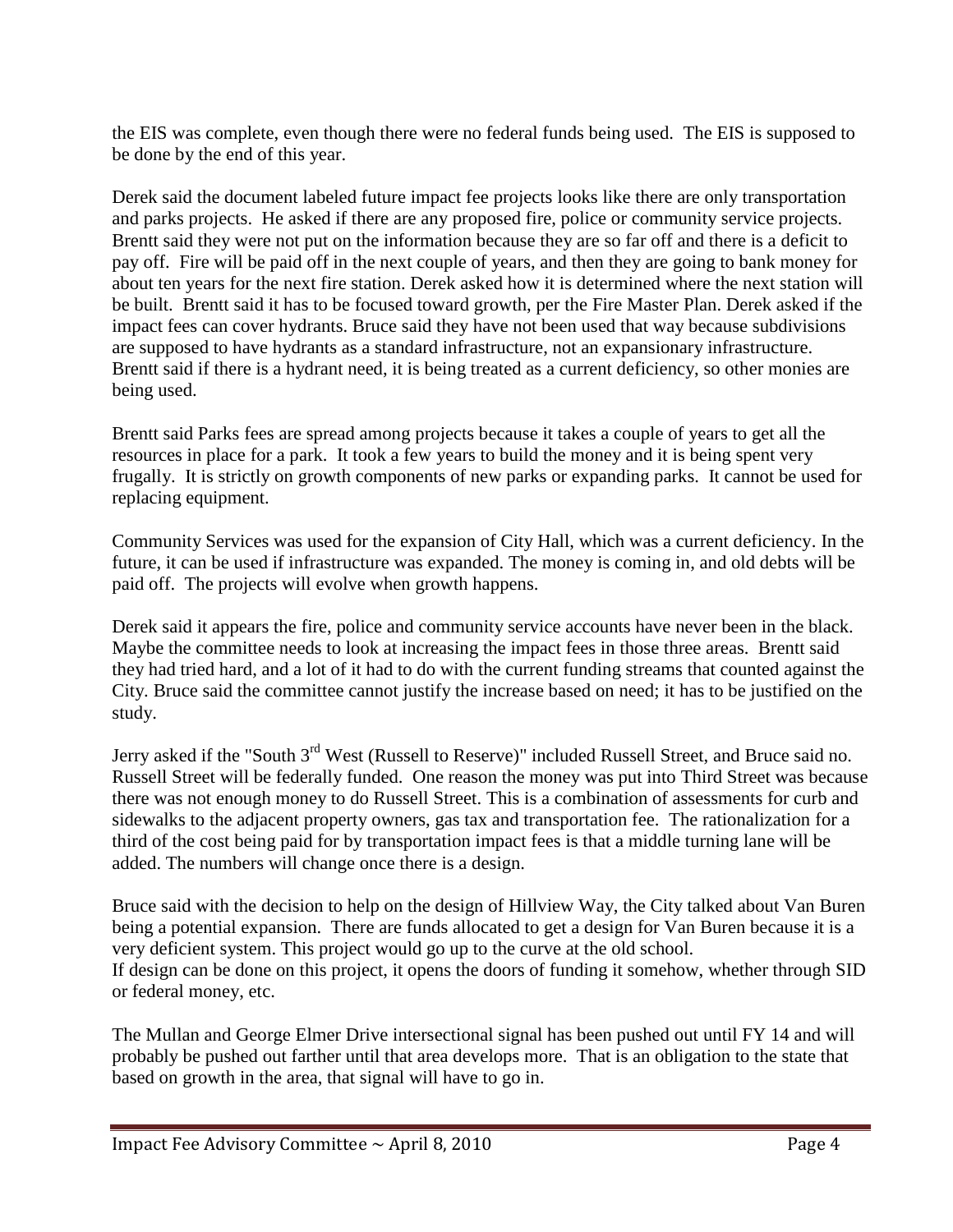the EIS was complete, even though there were no federal funds being used. The EIS is supposed to be done by the end of this year.

Derek said the document labeled future impact fee projects looks like there are only transportation and parks projects. He asked if there are any proposed fire, police or community service projects. Brentt said they were not put on the information because they are so far off and there is a deficit to pay off. Fire will be paid off in the next couple of years, and then they are going to bank money for about ten years for the next fire station. Derek asked how it is determined where the next station will be built. Brentt said it has to be focused toward growth, per the Fire Master Plan. Derek asked if the impact fees can cover hydrants. Bruce said they have not been used that way because subdivisions are supposed to have hydrants as a standard infrastructure, not an expansionary infrastructure. Brentt said if there is a hydrant need, it is being treated as a current deficiency, so other monies are being used.

Brentt said Parks fees are spread among projects because it takes a couple of years to get all the resources in place for a park. It took a few years to build the money and it is being spent very frugally. It is strictly on growth components of new parks or expanding parks. It cannot be used for replacing equipment.

Community Services was used for the expansion of City Hall, which was a current deficiency. In the future, it can be used if infrastructure was expanded. The money is coming in, and old debts will be paid off. The projects will evolve when growth happens.

Derek said it appears the fire, police and community service accounts have never been in the black. Maybe the committee needs to look at increasing the impact fees in those three areas. Brentt said they had tried hard, and a lot of it had to do with the current funding streams that counted against the City. Bruce said the committee cannot justify the increase based on need; it has to be justified on the study.

Jerry asked if the "South 3<sup>rd</sup> West (Russell to Reserve)" included Russell Street, and Bruce said no. Russell Street will be federally funded. One reason the money was put into Third Street was because there was not enough money to do Russell Street. This is a combination of assessments for curb and sidewalks to the adjacent property owners, gas tax and transportation fee. The rationalization for a third of the cost being paid for by transportation impact fees is that a middle turning lane will be added. The numbers will change once there is a design.

Bruce said with the decision to help on the design of Hillview Way, the City talked about Van Buren being a potential expansion. There are funds allocated to get a design for Van Buren because it is a very deficient system. This project would go up to the curve at the old school. If design can be done on this project, it opens the doors of funding it somehow, whether through SID or federal money, etc.

The Mullan and George Elmer Drive intersectional signal has been pushed out until FY 14 and will probably be pushed out farther until that area develops more. That is an obligation to the state that based on growth in the area, that signal will have to go in.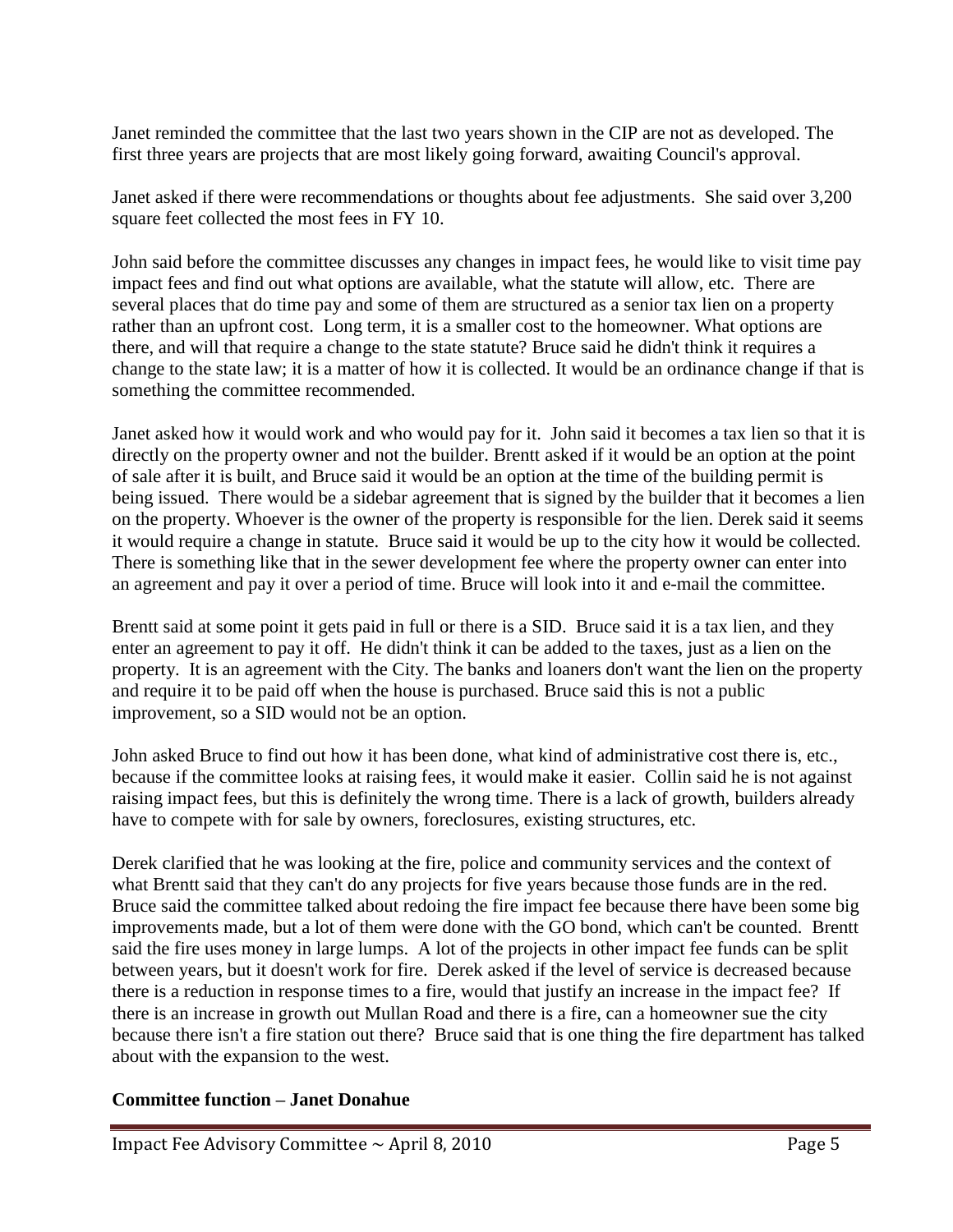Janet reminded the committee that the last two years shown in the CIP are not as developed. The first three years are projects that are most likely going forward, awaiting Council's approval.

Janet asked if there were recommendations or thoughts about fee adjustments. She said over 3,200 square feet collected the most fees in FY 10.

John said before the committee discusses any changes in impact fees, he would like to visit time pay impact fees and find out what options are available, what the statute will allow, etc. There are several places that do time pay and some of them are structured as a senior tax lien on a property rather than an upfront cost. Long term, it is a smaller cost to the homeowner. What options are there, and will that require a change to the state statute? Bruce said he didn't think it requires a change to the state law; it is a matter of how it is collected. It would be an ordinance change if that is something the committee recommended.

Janet asked how it would work and who would pay for it. John said it becomes a tax lien so that it is directly on the property owner and not the builder. Brentt asked if it would be an option at the point of sale after it is built, and Bruce said it would be an option at the time of the building permit is being issued. There would be a sidebar agreement that is signed by the builder that it becomes a lien on the property. Whoever is the owner of the property is responsible for the lien. Derek said it seems it would require a change in statute. Bruce said it would be up to the city how it would be collected. There is something like that in the sewer development fee where the property owner can enter into an agreement and pay it over a period of time. Bruce will look into it and e-mail the committee.

Brentt said at some point it gets paid in full or there is a SID. Bruce said it is a tax lien, and they enter an agreement to pay it off. He didn't think it can be added to the taxes, just as a lien on the property. It is an agreement with the City. The banks and loaners don't want the lien on the property and require it to be paid off when the house is purchased. Bruce said this is not a public improvement, so a SID would not be an option.

John asked Bruce to find out how it has been done, what kind of administrative cost there is, etc., because if the committee looks at raising fees, it would make it easier. Collin said he is not against raising impact fees, but this is definitely the wrong time. There is a lack of growth, builders already have to compete with for sale by owners, foreclosures, existing structures, etc.

Derek clarified that he was looking at the fire, police and community services and the context of what Brentt said that they can't do any projects for five years because those funds are in the red. Bruce said the committee talked about redoing the fire impact fee because there have been some big improvements made, but a lot of them were done with the GO bond, which can't be counted. Brentt said the fire uses money in large lumps. A lot of the projects in other impact fee funds can be split between years, but it doesn't work for fire. Derek asked if the level of service is decreased because there is a reduction in response times to a fire, would that justify an increase in the impact fee? If there is an increase in growth out Mullan Road and there is a fire, can a homeowner sue the city because there isn't a fire station out there? Bruce said that is one thing the fire department has talked about with the expansion to the west.

### **Committee function – Janet Donahue**